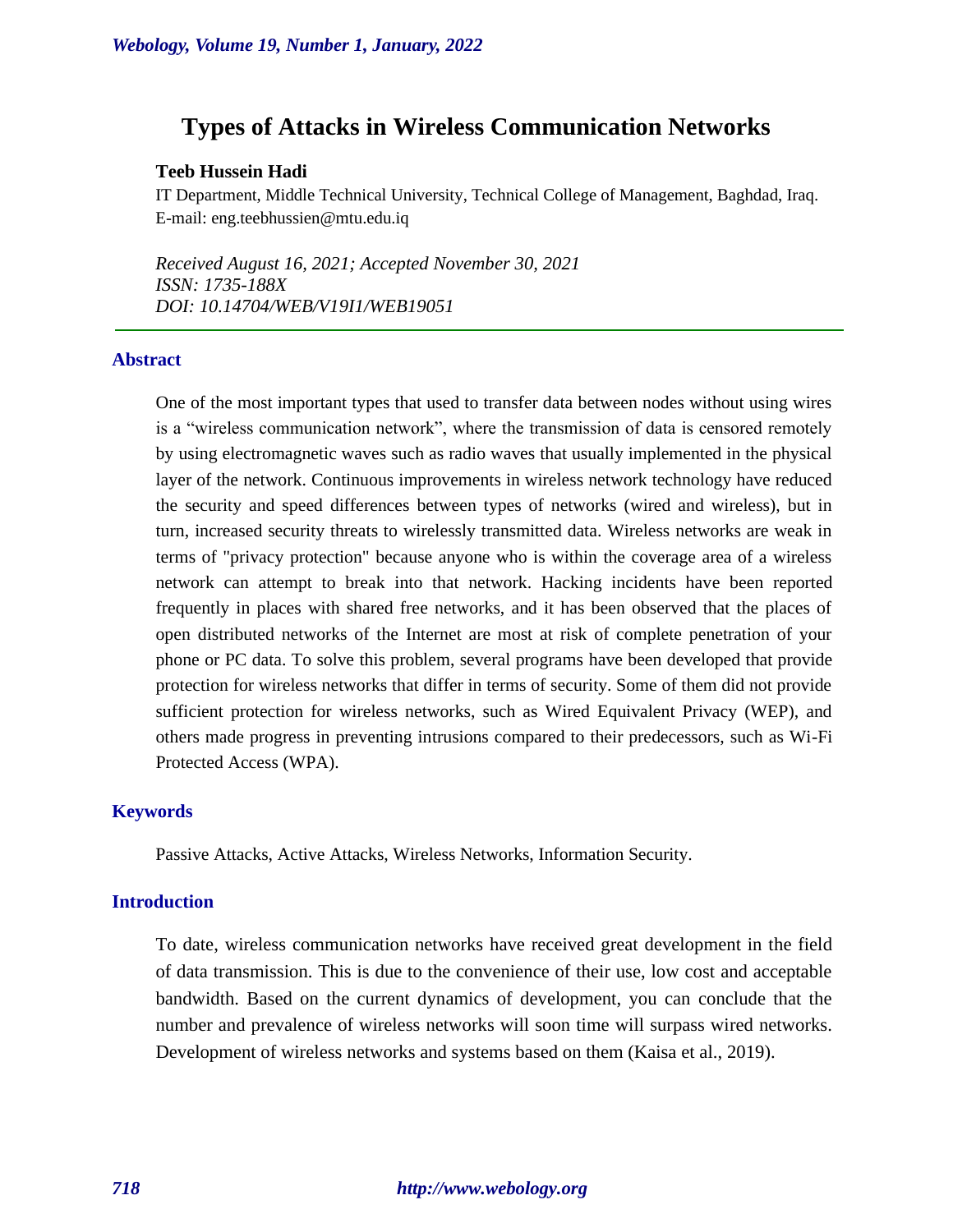# **Types of Attacks in Wireless Communication Networks**

# **Teeb Hussein Hadi**

IT Department, Middle Technical University, Technical College of Management, Baghdad, Iraq. E-mail: eng.teebhussien@mtu.edu.iq

*Received August 16, 2021; Accepted November 30, 2021 ISSN: 1735-188X DOI: 10.14704/WEB/V19I1/WEB19051*

# **Abstract**

One of the most important types that used to transfer data between nodes without using wires is a "wireless communication network", where the transmission of data is censored remotely by using electromagnetic waves such as radio waves that usually implemented in the physical layer of the network. Continuous improvements in wireless network technology have reduced the security and speed differences between types of networks (wired and wireless), but in turn, increased security threats to wirelessly transmitted data. Wireless networks are weak in terms of "privacy protection" because anyone who is within the coverage area of a wireless network can attempt to break into that network. Hacking incidents have been reported frequently in places with shared free networks, and it has been observed that the places of open distributed networks of the Internet are most at risk of complete penetration of your phone or PC data. To solve this problem, several programs have been developed that provide protection for wireless networks that differ in terms of security. Some of them did not provide sufficient protection for wireless networks, such as Wired Equivalent Privacy (WEP), and others made progress in preventing intrusions compared to their predecessors, such as Wi-Fi Protected Access (WPA).

# **Keywords**

Passive Attacks, Active Attacks, Wireless Networks, Information Security.

### **Introduction**

To date, wireless communication networks have received great development in the field of data transmission. This is due to the convenience of their use, low cost and acceptable bandwidth. Based on the current dynamics of development, you can conclude that the number and prevalence of wireless networks will soon time will surpass wired networks. Development of wireless networks and systems based on them (Kaisa et al., 2019).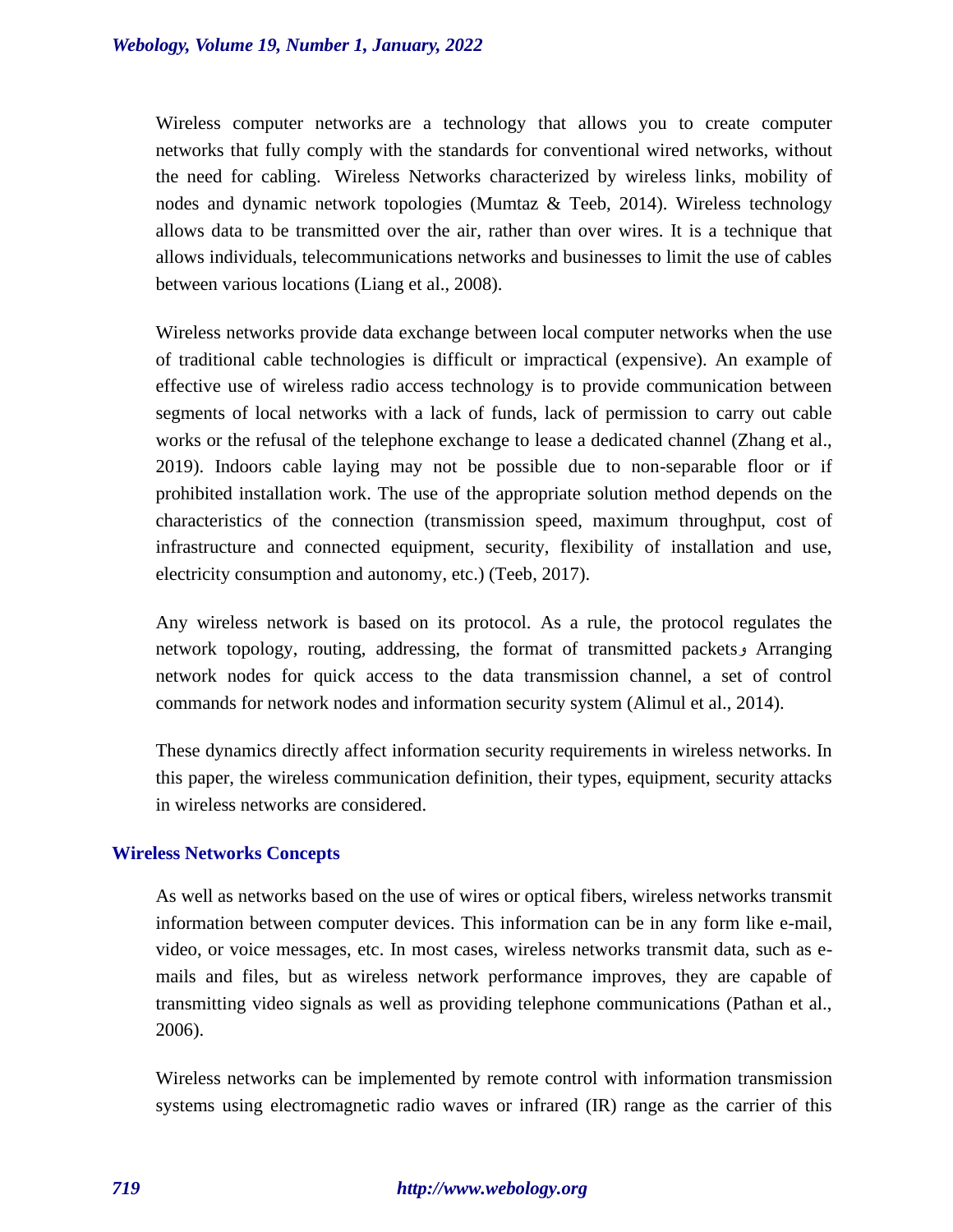Wireless computer networks are a technology that allows you to create computer networks that fully comply with the standards for conventional wired networks, without the need for cabling. Wireless Networks characterized by wireless links, mobility of nodes and dynamic network topologies (Mumtaz & Teeb, 2014). Wireless technology allows data to be transmitted over the air, rather than over wires. It is a technique that allows individuals, telecommunications networks and businesses to limit the use of cables between various locations (Liang et al., 2008).

Wireless networks provide data exchange between local computer networks when the use of traditional cable technologies is difficult or impractical (expensive). An example of effective use of wireless radio access technology is to provide communication between segments of local networks with a lack of funds, lack of permission to carry out cable works or the refusal of the telephone exchange to lease a dedicated channel (Zhang et al., 2019). Indoors cable laying may not be possible due to non-separable floor or if prohibited installation work. The use of the appropriate solution method depends on the characteristics of the connection (transmission speed, maximum throughput, cost of infrastructure and connected equipment, security, flexibility of installation and use, electricity consumption and autonomy, etc.) (Teeb, 2017).

Any wireless network is based on its protocol. As a rule, the protocol regulates the network topology, routing, addressing, the format of transmitted packetsو Arranging network nodes for quick access to the data transmission channel, a set of control commands for network nodes and information security system (Alimul et al., 2014).

These dynamics directly affect information security requirements in wireless networks. In this paper, the wireless communication definition, their types, equipment, security attacks in wireless networks are considered.

#### **Wireless Networks Concepts**

As well as networks based on the use of wires or optical fibers, wireless networks transmit information between computer devices. This information can be in any form like e-mail, video, or voice messages, etc. In most cases, wireless networks transmit data, such as emails and files, but as wireless network performance improves, they are capable of transmitting video signals as well as providing telephone communications (Pathan et al., 2006).

Wireless networks can be implemented by remote control with information transmission systems using electromagnetic radio waves or infrared (IR) range as the carrier of this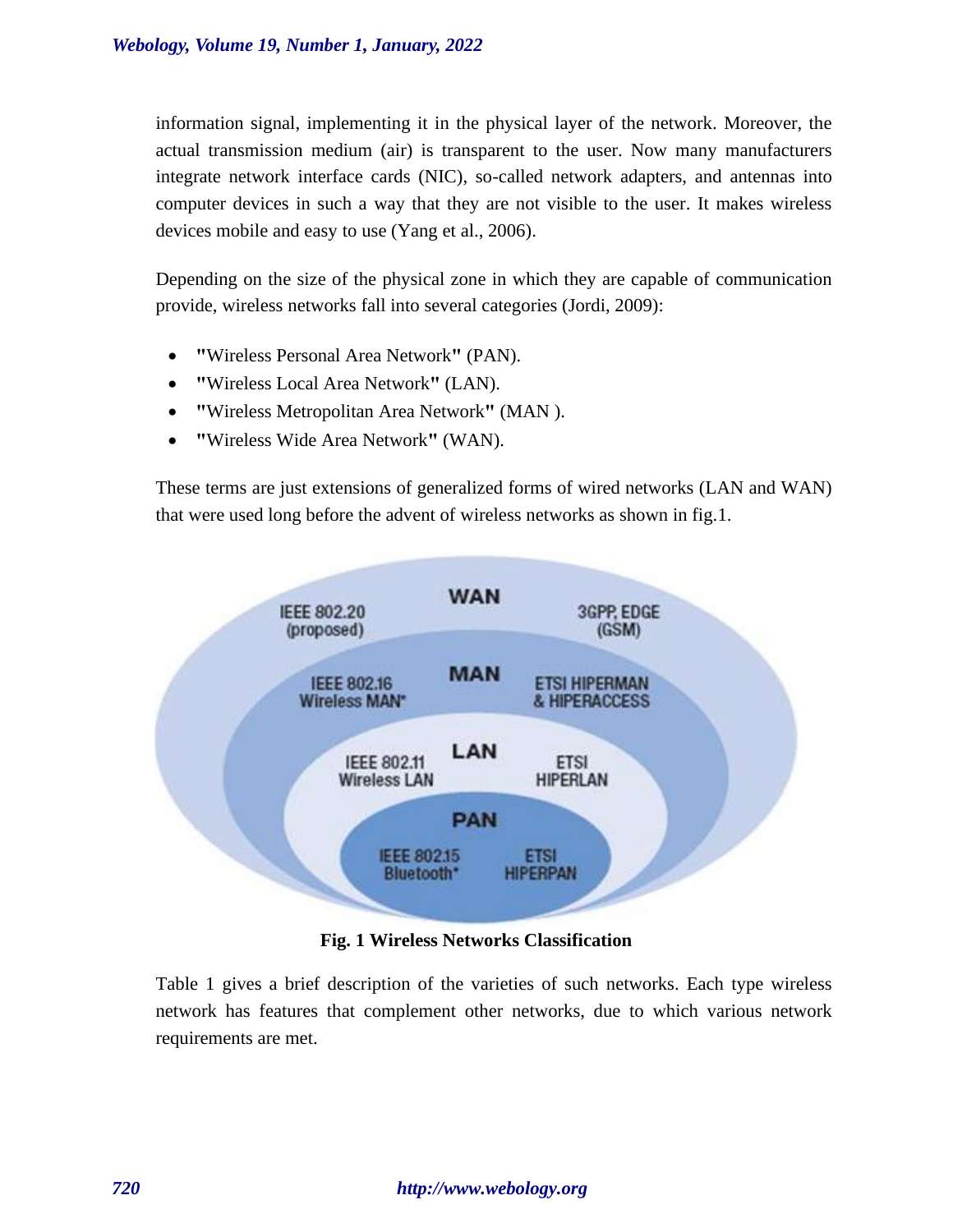information signal, implementing it in the physical layer of the network. Moreover, the actual transmission medium (air) is transparent to the user. Now many manufacturers integrate network interface cards (NIC), so-called network adapters, and antennas into computer devices in such a way that they are not visible to the user. It makes wireless devices mobile and easy to use (Yang et al., 2006).

Depending on the size of the physical zone in which they are capable of communication provide, wireless networks fall into several categories (Jordi, 2009):

- **"**Wireless Personal Area Network**"** (PAN).
- **"**Wireless Local Area Network**"** (LAN).
- **"**Wireless Metropolitan Area Network**"** (MAN).
- **"**Wireless Wide Area Network**"** (WAN).

These terms are just extensions of generalized forms of wired networks (LAN and WAN) that were used long before the advent of wireless networks as shown in fig.1.



**Fig. 1 Wireless Networks Classification**

Table 1 gives a brief description of the varieties of such networks. Each type wireless network has features that complement other networks, due to which various network requirements are met.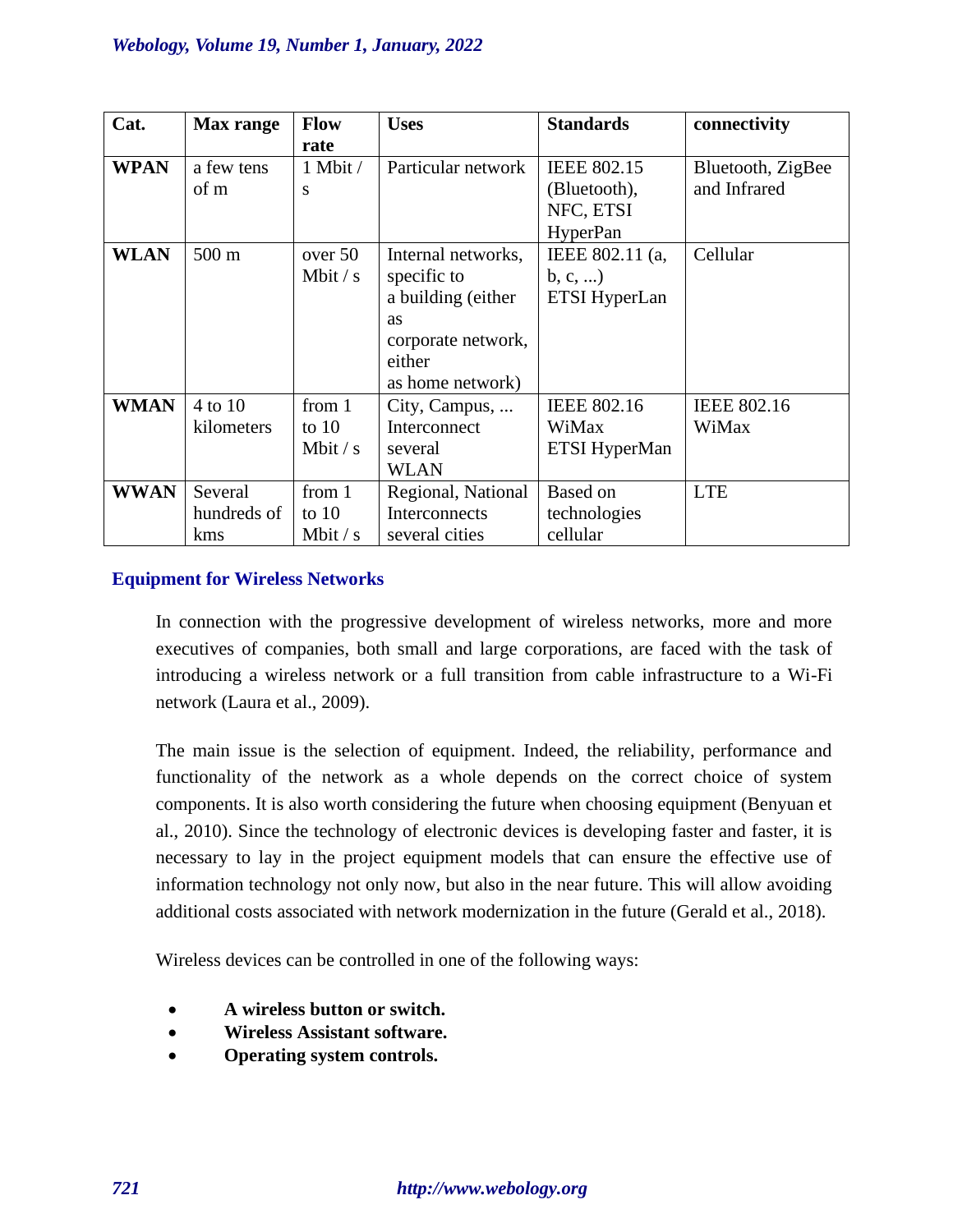| Cat.        | <b>Max</b> range | <b>Flow</b> | <b>Uses</b>        | <b>Standards</b>   | connectivity       |
|-------------|------------------|-------------|--------------------|--------------------|--------------------|
|             |                  | rate        |                    |                    |                    |
| <b>WPAN</b> | a few tens       | 1 Mbit /    | Particular network | <b>IEEE 802.15</b> | Bluetooth, ZigBee  |
|             | of m             | S           |                    | (Bluetooth),       | and Infrared       |
|             |                  |             |                    | NFC, ETSI          |                    |
|             |                  |             |                    | <b>HyperPan</b>    |                    |
| <b>WLAN</b> | 500 m            | over 50     | Internal networks, | IEEE 802.11 (a,    | Cellular           |
|             |                  | Mbit $/s$   | specific to        | b, c,              |                    |
|             |                  |             | a building (either | ETSI HyperLan      |                    |
|             |                  |             | as                 |                    |                    |
|             |                  |             | corporate network, |                    |                    |
|             |                  |             | either             |                    |                    |
|             |                  |             | as home network)   |                    |                    |
| <b>WMAN</b> | $4$ to $10$      | from 1      | City, Campus,      | <b>IEEE 802.16</b> | <b>IEEE 802.16</b> |
|             | kilometers       | to $10$     | Interconnect       | WiMax              | WiMax              |
|             |                  | Mbit $/s$   | several            | ETSI HyperMan      |                    |
|             |                  |             | <b>WLAN</b>        |                    |                    |
| <b>WWAN</b> | Several          | from 1      | Regional, National | <b>Based on</b>    | <b>LTE</b>         |
|             | hundreds of      | to $10$     | Interconnects      | technologies       |                    |
|             | kms              | Mbit $/s$   | several cities     | cellular           |                    |

# **Equipment for Wireless Networks**

In connection with the progressive development of wireless networks, more and more executives of companies, both small and large corporations, are faced with the task of introducing a wireless network or a full transition from cable infrastructure to a Wi-Fi network (Laura et al., 2009).

The main issue is the selection of equipment. Indeed, the reliability, performance and functionality of the network as a whole depends on the correct choice of system components. It is also worth considering the future when choosing equipment (Benyuan et al., 2010). Since the technology of electronic devices is developing faster and faster, it is necessary to lay in the project equipment models that can ensure the effective use of information technology not only now, but also in the near future. This will allow avoiding additional costs associated with network modernization in the future (Gerald et al., 2018).

Wireless devices can be controlled in one of the following ways:

- **A wireless button or switch.**
- **Wireless Assistant software.**
- **Operating system controls.**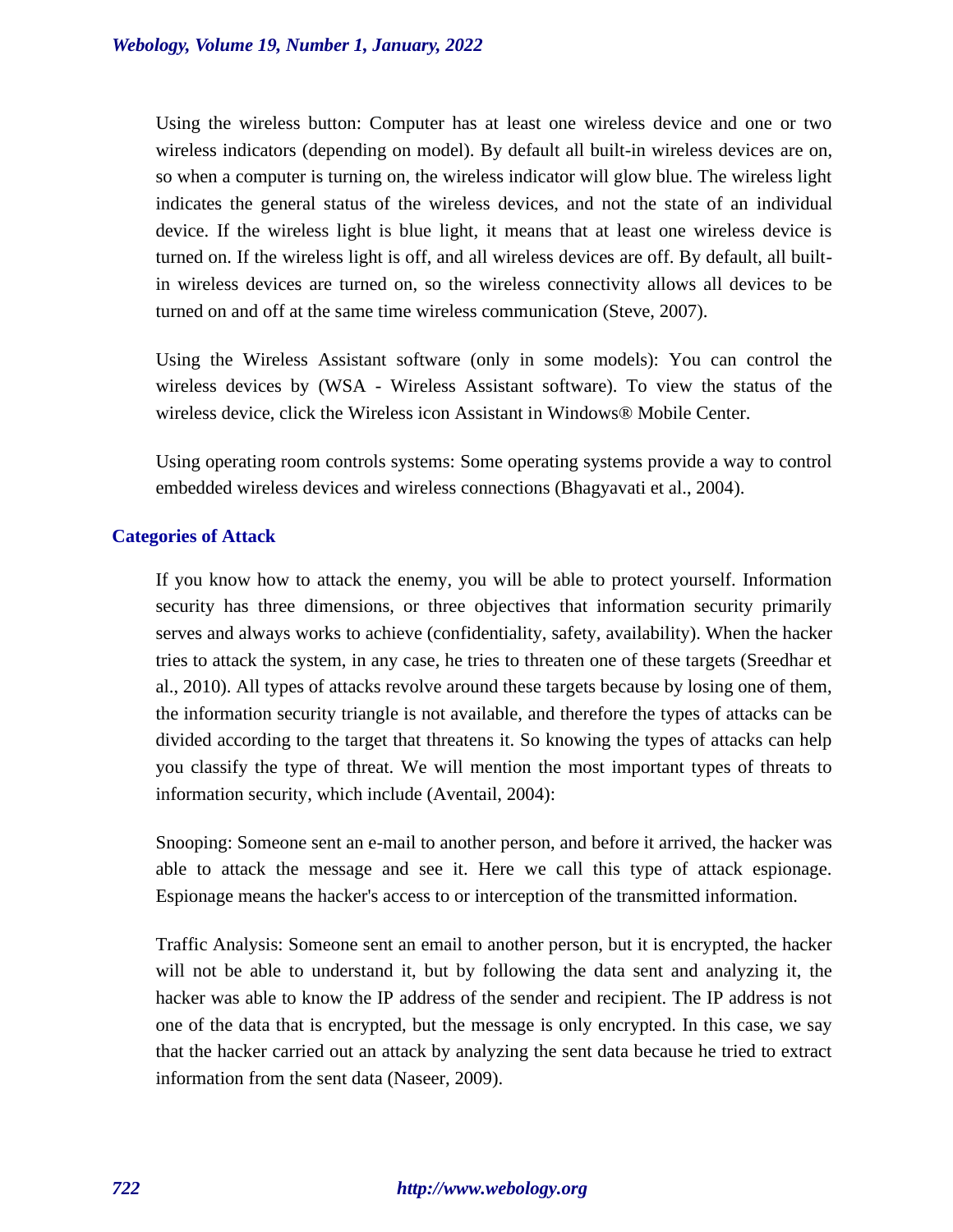Using the wireless button: Computer has at least one wireless device and one or two wireless indicators (depending on model). By default all built-in wireless devices are on, so when a computer is turning on, the wireless indicator will glow blue. The wireless light indicates the general status of the wireless devices, and not the state of an individual device. If the wireless light is blue light, it means that at least one wireless device is turned on. If the wireless light is off, and all wireless devices are off. By default, all builtin wireless devices are turned on, so the wireless connectivity allows all devices to be turned on and off at the same time wireless communication (Steve, 2007).

Using the Wireless Assistant software (only in some models): You can control the wireless devices by (WSA - Wireless Assistant software). To view the status of the wireless device, click the Wireless icon Assistant in Windows® Mobile Center.

Using operating room controls systems: Some operating systems provide a way to control embedded wireless devices and wireless connections (Bhagyavati et al., 2004).

# **Categories of Attack**

If you know how to attack the enemy, you will be able to protect yourself. Information security has three dimensions, or three objectives that information security primarily serves and always works to achieve (confidentiality, safety, availability). When the hacker tries to attack the system, in any case, he tries to threaten one of these targets (Sreedhar et al., 2010). All types of attacks revolve around these targets because by losing one of them, the information security triangle is not available, and therefore the types of attacks can be divided according to the target that threatens it. So knowing the types of attacks can help you classify the type of threat. We will mention the most important types of threats to information security, which include (Aventail, 2004):

Snooping: Someone sent an e-mail to another person, and before it arrived, the hacker was able to attack the message and see it. Here we call this type of attack espionage. Espionage means the hacker's access to or interception of the transmitted information.

Traffic Analysis: Someone sent an email to another person, but it is encrypted, the hacker will not be able to understand it, but by following the data sent and analyzing it, the hacker was able to know the IP address of the sender and recipient. The IP address is not one of the data that is encrypted, but the message is only encrypted. In this case, we say that the hacker carried out an attack by analyzing the sent data because he tried to extract information from the sent data (Naseer, 2009).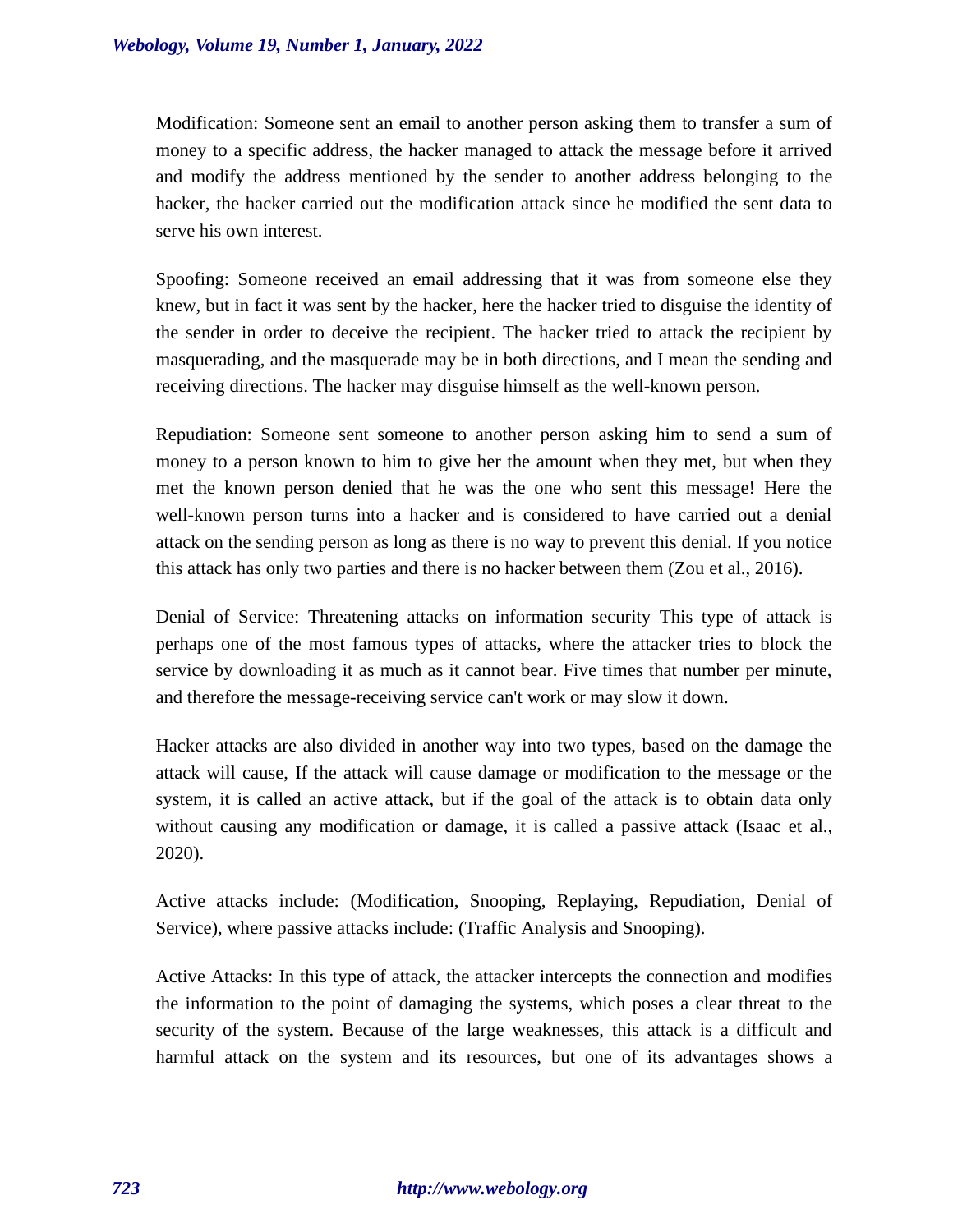Modification: Someone sent an email to another person asking them to transfer a sum of money to a specific address, the hacker managed to attack the message before it arrived and modify the address mentioned by the sender to another address belonging to the hacker, the hacker carried out the modification attack since he modified the sent data to serve his own interest.

Spoofing: Someone received an email addressing that it was from someone else they knew, but in fact it was sent by the hacker, here the hacker tried to disguise the identity of the sender in order to deceive the recipient. The hacker tried to attack the recipient by masquerading, and the masquerade may be in both directions, and I mean the sending and receiving directions. The hacker may disguise himself as the well-known person.

Repudiation: Someone sent someone to another person asking him to send a sum of money to a person known to him to give her the amount when they met, but when they met the known person denied that he was the one who sent this message! Here the well-known person turns into a hacker and is considered to have carried out a denial attack on the sending person as long as there is no way to prevent this denial. If you notice this attack has only two parties and there is no hacker between them (Zou et al., 2016).

Denial of Service: Threatening attacks on information security This type of attack is perhaps one of the most famous types of attacks, where the attacker tries to block the service by downloading it as much as it cannot bear. Five times that number per minute, and therefore the message-receiving service can't work or may slow it down.

Hacker attacks are also divided in another way into two types, based on the damage the attack will cause, If the attack will cause damage or modification to the message or the system, it is called an active attack, but if the goal of the attack is to obtain data only without causing any modification or damage, it is called a passive attack (Isaac et al., 2020).

Active attacks include: (Modification, Snooping, Replaying, Repudiation, Denial of Service), where passive attacks include: (Traffic Analysis and Snooping).

Active Attacks: In this type of attack, the attacker intercepts the connection and modifies the information to the point of damaging the systems, which poses a clear threat to the security of the system. Because of the large weaknesses, this attack is a difficult and harmful attack on the system and its resources, but one of its advantages shows a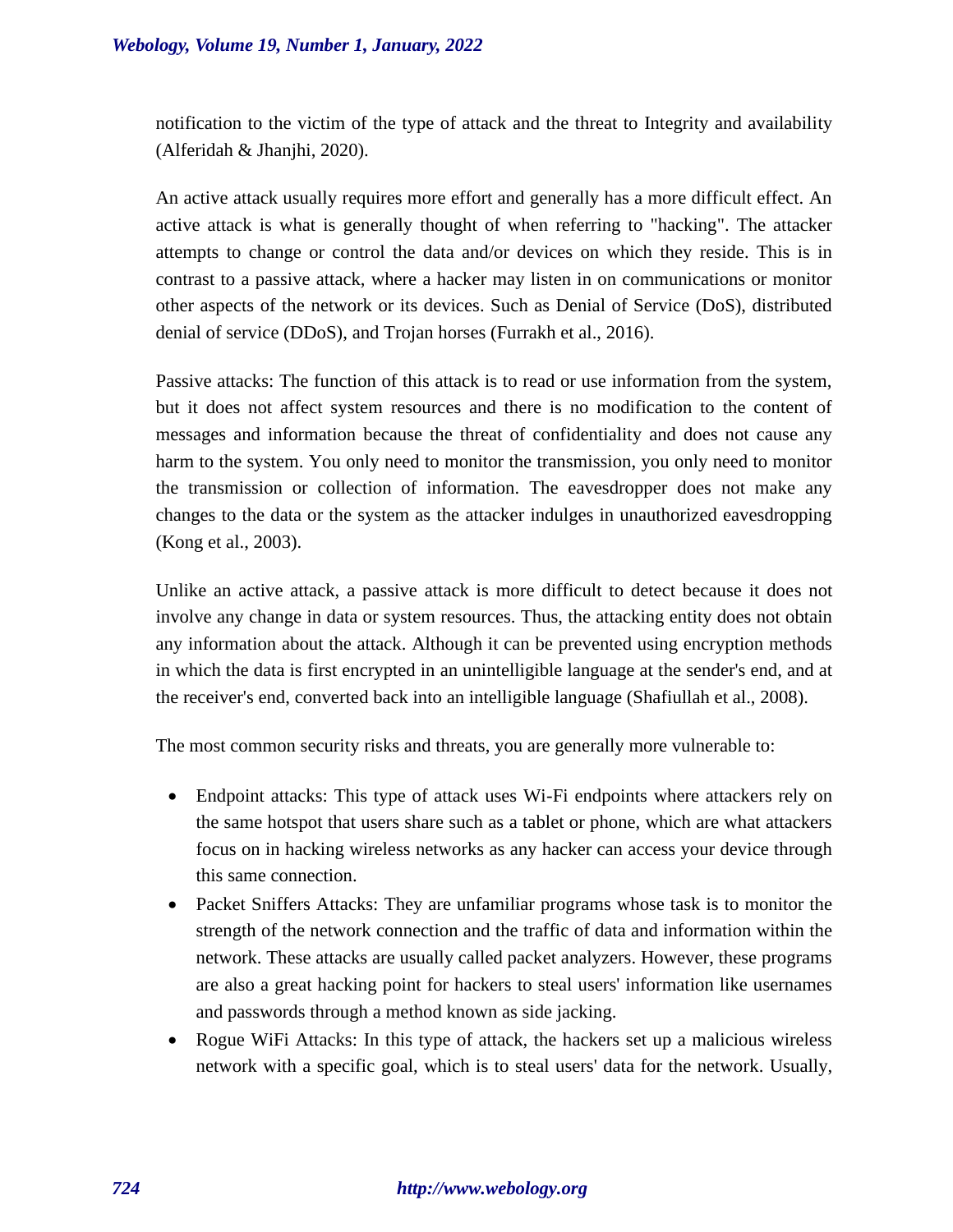notification to the victim of the type of attack and the threat to Integrity and availability (Alferidah & Jhanjhi, 2020).

An active attack usually requires more effort and generally has a more difficult effect. An active attack is what is generally thought of when referring to "hacking". The attacker attempts to change or control the data and/or devices on which they reside. This is in contrast to a passive attack, where a hacker may listen in on communications or monitor other aspects of the network or its devices. Such as Denial of Service (DoS), distributed denial of service (DDoS), and Trojan horses (Furrakh et al., 2016).

Passive attacks: The function of this attack is to read or use information from the system, but it does not affect system resources and there is no modification to the content of messages and information because the threat of confidentiality and does not cause any harm to the system. You only need to monitor the transmission, you only need to monitor the transmission or collection of information. The eavesdropper does not make any changes to the data or the system as the attacker indulges in unauthorized eavesdropping (Kong et al., 2003).

Unlike an active attack, a passive attack is more difficult to detect because it does not involve any change in data or system resources. Thus, the attacking entity does not obtain any information about the attack. Although it can be prevented using encryption methods in which the data is first encrypted in an unintelligible language at the sender's end, and at the receiver's end, converted back into an intelligible language (Shafiullah et al., 2008).

The most common security risks and threats, you are generally more vulnerable to:

- Endpoint attacks: This type of attack uses Wi-Fi endpoints where attackers rely on the same hotspot that users share such as a tablet or phone, which are what attackers focus on in hacking wireless networks as any hacker can access your device through this same connection.
- Packet Sniffers Attacks: They are unfamiliar programs whose task is to monitor the strength of the network connection and the traffic of data and information within the network. These attacks are usually called packet analyzers. However, these programs are also a great hacking point for hackers to steal users' information like usernames and passwords through a method known as side jacking.
- Rogue WiFi Attacks: In this type of attack, the hackers set up a malicious wireless network with a specific goal, which is to steal users' data for the network. Usually,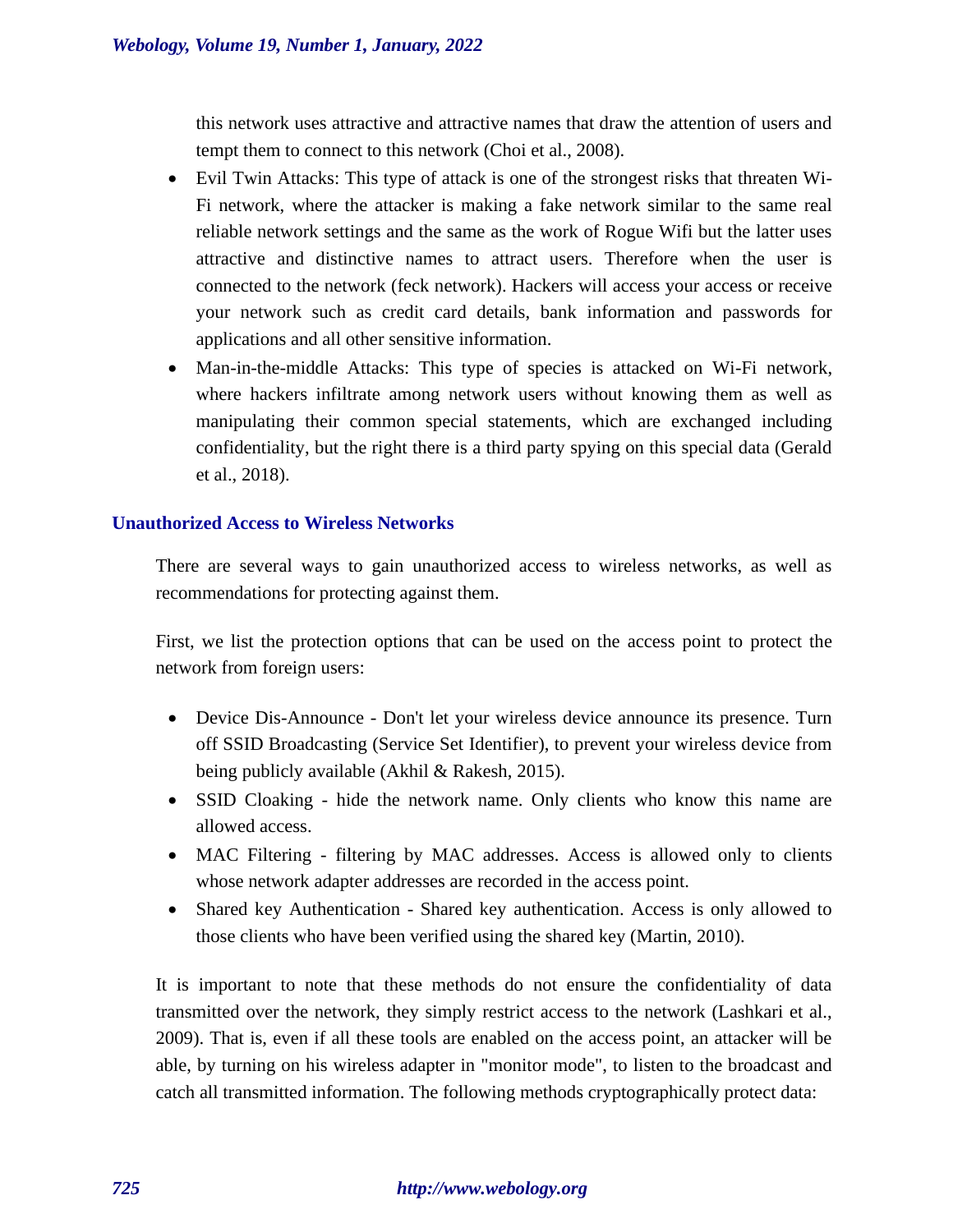this network uses attractive and attractive names that draw the attention of users and tempt them to connect to this network (Choi et al., 2008).

- Evil Twin Attacks: This type of attack is one of the strongest risks that threaten Wi-Fi network, where the attacker is making a fake network similar to the same real reliable network settings and the same as the work of Rogue Wifi but the latter uses attractive and distinctive names to attract users. Therefore when the user is connected to the network (feck network). Hackers will access your access or receive your network such as credit card details, bank information and passwords for applications and all other sensitive information.
- Man-in-the-middle Attacks: This type of species is attacked on Wi-Fi network, where hackers infiltrate among network users without knowing them as well as manipulating their common special statements, which are exchanged including confidentiality, but the right there is a third party spying on this special data (Gerald et al., 2018).

# **Unauthorized Access to Wireless Networks**

There are several ways to gain unauthorized access to wireless networks, as well as recommendations for protecting against them.

First, we list the protection options that can be used on the access point to protect the network from foreign users:

- Device Dis-Announce Don't let your wireless device announce its presence. Turn off SSID Broadcasting (Service Set Identifier), to prevent your wireless device from being publicly available (Akhil & Rakesh, 2015).
- SSID Cloaking hide the network name. Only clients who know this name are allowed access.
- MAC Filtering filtering by MAC addresses. Access is allowed only to clients whose network adapter addresses are recorded in the access point.
- Shared key Authentication Shared key authentication. Access is only allowed to those clients who have been verified using the shared key (Martin, 2010).

It is important to note that these methods do not ensure the confidentiality of data transmitted over the network, they simply restrict access to the network (Lashkari et al., 2009). That is, even if all these tools are enabled on the access point, an attacker will be able, by turning on his wireless adapter in "monitor mode", to listen to the broadcast and catch all transmitted information. The following methods cryptographically protect data:

# *725 http://www.webology.org*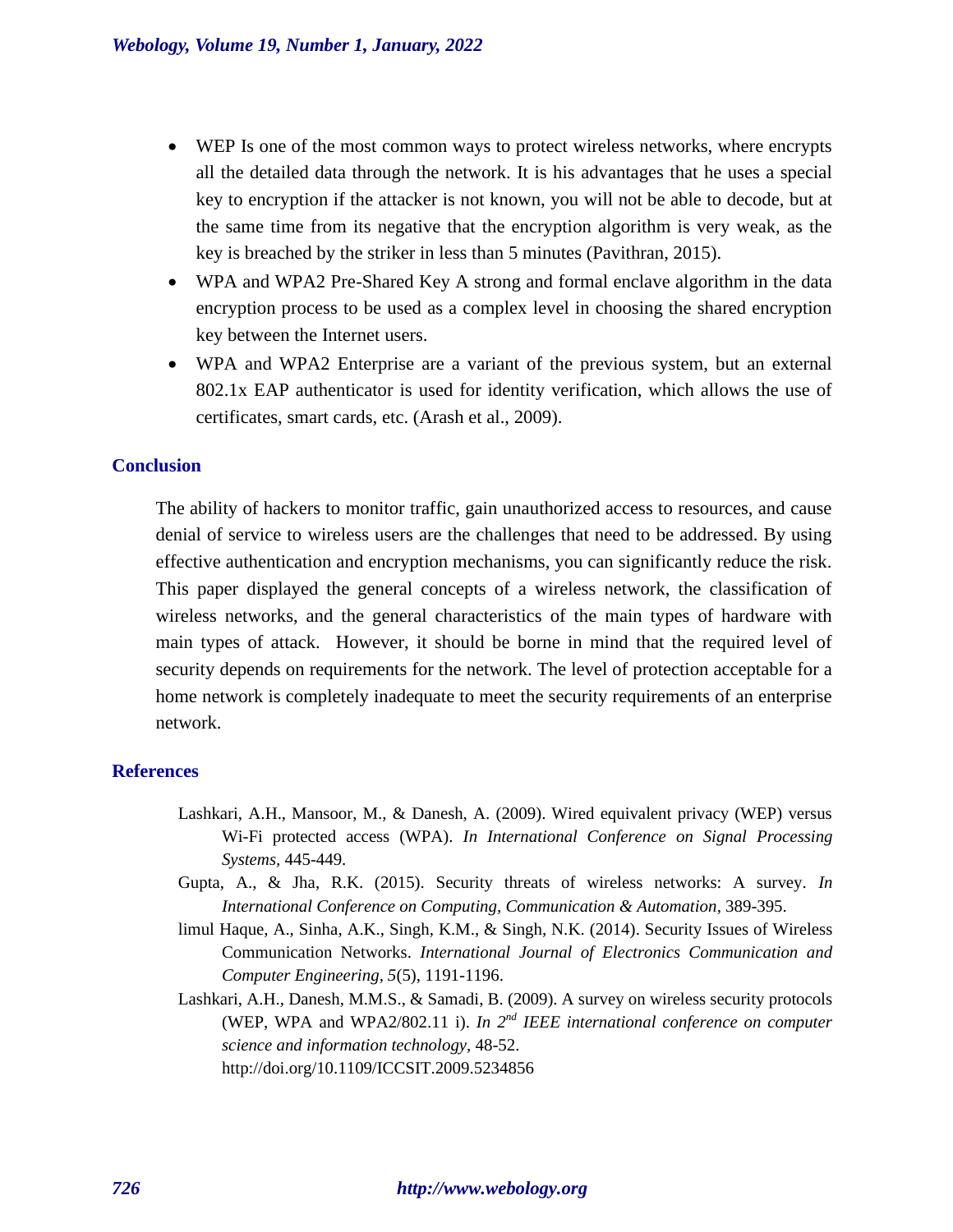- WEP Is one of the most common ways to protect wireless networks, where encrypts all the detailed data through the network. It is his advantages that he uses a special key to encryption if the attacker is not known, you will not be able to decode, but at the same time from its negative that the encryption algorithm is very weak, as the key is breached by the striker in less than 5 minutes (Pavithran, 2015).
- WPA and WPA2 Pre-Shared Key A strong and formal enclave algorithm in the data encryption process to be used as a complex level in choosing the shared encryption key between the Internet users.
- WPA and WPA2 Enterprise are a variant of the previous system, but an external 802.1x EAP authenticator is used for identity verification, which allows the use of certificates, smart cards, etc. (Arash et al., 2009).

# **Conclusion**

The ability of hackers to monitor traffic, gain unauthorized access to resources, and cause denial of service to wireless users are the challenges that need to be addressed. By using effective authentication and encryption mechanisms, you can significantly reduce the risk. This paper displayed the general concepts of a wireless network, the classification of wireless networks, and the general characteristics of the main types of hardware with main types of attack. However, it should be borne in mind that the required level of security depends on requirements for the network. The level of protection acceptable for a home network is completely inadequate to meet the security requirements of an enterprise network.

### **References**

- Lashkari, A.H., Mansoor, M., & Danesh, A. (2009). Wired equivalent privacy (WEP) versus Wi-Fi protected access (WPA). *In International Conference on Signal Processing Systems,* 445-449.
- Gupta, A., & Jha, R.K. (2015). Security threats of wireless networks: A survey. *In International Conference on Computing, Communication & Automation,* 389-395.
- limul Haque, A., Sinha, A.K., Singh, K.M., & Singh, N.K. (2014). Security Issues of Wireless Communication Networks. *International Journal of Electronics Communication and Computer Engineering, 5*(5), 1191-1196.
- Lashkari, A.H., Danesh, M.M.S., & Samadi, B. (2009). A survey on wireless security protocols (WEP, WPA and WPA2/802.11 i). *In 2nd IEEE international conference on computer science and information technology,* 48-52. http://doi.org/10.1109/ICCSIT.2009.5234856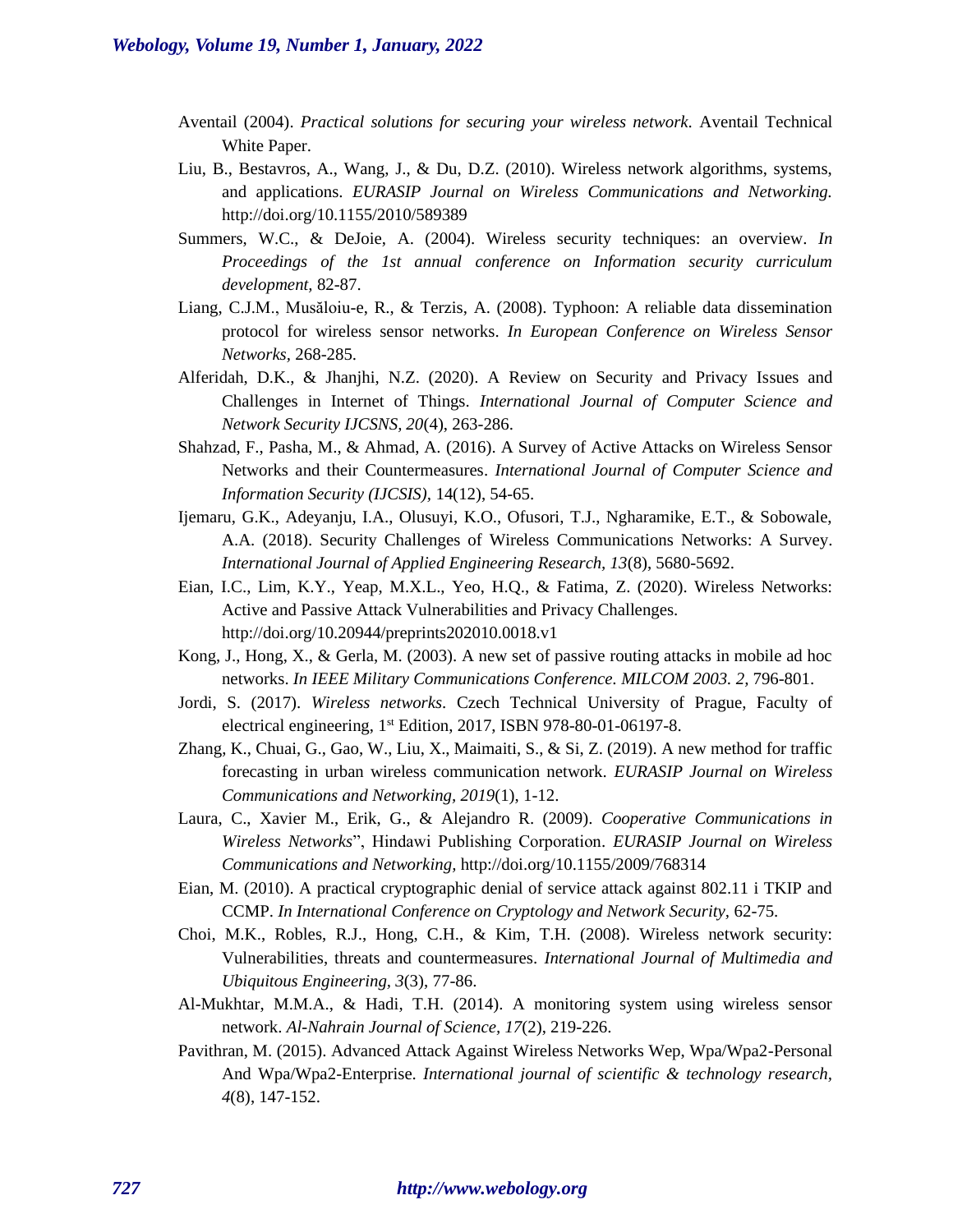- Aventail (2004). *Practical solutions for securing your wireless network.* Aventail Technical White Paper.
- Liu, B., Bestavros, A., Wang, J., & Du, D.Z. (2010). Wireless network algorithms, systems, and applications. *EURASIP Journal on Wireless Communications and Networking.* http://doi.org/10.1155/2010/589389
- Summers, W.C., & DeJoie, A. (2004). Wireless security techniques: an overview. *In Proceedings of the 1st annual conference on Information security curriculum development,* 82-87.
- Liang, C.J.M., Musăloiu-e, R., & Terzis, A. (2008). Typhoon: A reliable data dissemination protocol for wireless sensor networks. *In European Conference on Wireless Sensor Networks,* 268-285.
- Alferidah, D.K., & Jhanjhi, N.Z. (2020). A Review on Security and Privacy Issues and Challenges in Internet of Things. *International Journal of Computer Science and Network Security IJCSNS, 20*(4), 263-286.
- Shahzad, F., Pasha, M., & Ahmad, A. (2016). A Survey of Active Attacks on Wireless Sensor Networks and their Countermeasures. *International Journal of Computer Science and Information Security (IJCSIS),* 14(12), 54-65.
- Ijemaru, G.K., Adeyanju, I.A., Olusuyi, K.O., Ofusori, T.J., Ngharamike, E.T., & Sobowale, A.A. (2018). Security Challenges of Wireless Communications Networks: A Survey. *International Journal of Applied Engineering Research, 13*(8), 5680-5692.
- Eian, I.C., Lim, K.Y., Yeap, M.X.L., Yeo, H.Q., & Fatima, Z. (2020). Wireless Networks: Active and Passive Attack Vulnerabilities and Privacy Challenges. http://doi.org/10.20944/preprints202010.0018.v1
- Kong, J., Hong, X., & Gerla, M. (2003). A new set of passive routing attacks in mobile ad hoc networks. *In IEEE Military Communications Conference. MILCOM 2003. 2,* 796-801.
- Jordi, S. (2017). *Wireless networks.* Czech Technical University of Prague, Faculty of electrical engineering, 1st Edition, 2017, ISBN 978-80-01-06197-8.
- Zhang, K., Chuai, G., Gao, W., Liu, X., Maimaiti, S., & Si, Z. (2019). A new method for traffic forecasting in urban wireless communication network. *EURASIP Journal on Wireless Communications and Networking, 2019*(1), 1-12.
- Laura, C., Xavier M., Erik, G., & Alejandro R. (2009). *Cooperative Communications in Wireless Networks*", Hindawi Publishing Corporation. *EURASIP Journal on Wireless Communications and Networking,* http://doi.org/10.1155/2009/768314
- Eian, M. (2010). A practical cryptographic denial of service attack against 802.11 i TKIP and CCMP. *In International Conference on Cryptology and Network Security,* 62-75.
- Choi, M.K., Robles, R.J., Hong, C.H., & Kim, T.H. (2008). Wireless network security: Vulnerabilities, threats and countermeasures. *International Journal of Multimedia and Ubiquitous Engineering, 3*(3), 77-86.
- Al-Mukhtar, M.M.A., & Hadi, T.H. (2014). A monitoring system using wireless sensor network. *Al-Nahrain Journal of Science, 17*(2), 219-226.
- Pavithran, M. (2015). Advanced Attack Against Wireless Networks Wep, Wpa/Wpa2-Personal And Wpa/Wpa2-Enterprise. *International journal of scientific & technology research, 4*(8), 147-152.